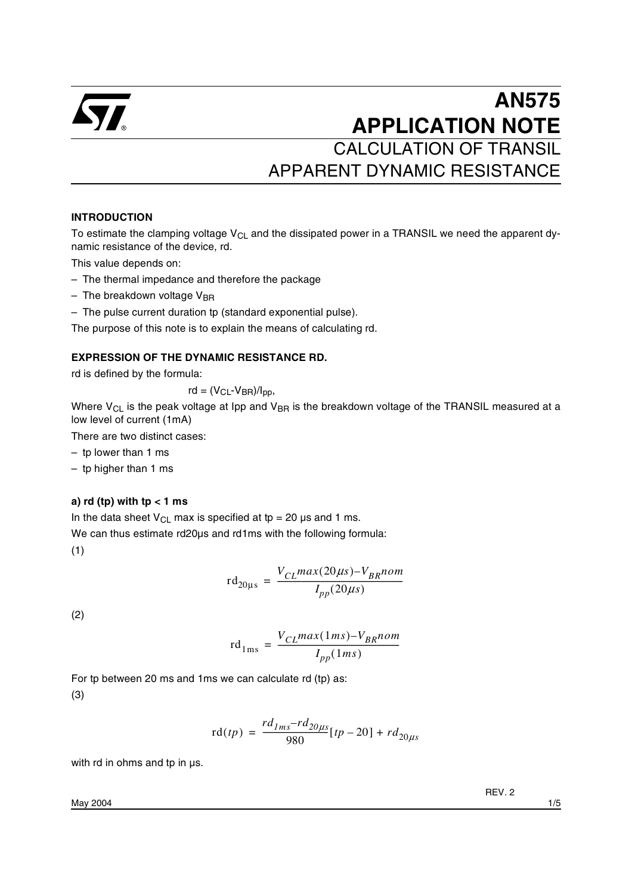

# **AN575 APPLICATION NOTE** CALCULATION OF TRANSIL

APPARENT DYNAMIC RESISTANCE

#### **INTRODUCTION**

To estimate the clamping voltage  $V_{CL}$  and the dissipated power in a TRANSIL we need the apparent dynamic resistance of the device, rd.

This value depends on:

- The thermal impedance and therefore the package
- $-$  The breakdown voltage V<sub>BR</sub>
- The pulse current duration tp (standard exponential pulse).

The purpose of this note is to explain the means of calculating rd.

#### **EXPRESSION OF THE DYNAMIC RESISTANCE RD.**

rd is defined by the formula:

 $rd = (V_{CL} - V_{BR})/I_{DD}$ 

Where  $V_{CL}$  is the peak voltage at Ipp and  $V_{BR}$  is the breakdown voltage of the TRANSIL measured at a low level of current (1mA)

There are two distinct cases:

– tp lower than 1 ms

– tp higher than 1 ms

#### **a) rd (tp) with tp < 1 ms**

In the data sheet  $V_{CL}$  max is specified at tp = 20 µs and 1 ms.

We can thus estimate rd20µs and rd1ms with the following formula:

(1)

$$
rd_{20\mu s} = \frac{V_{CL}max(20\mu s) - V_{BR}nom}{I_{pp}(20\mu s)}
$$

(2)

$$
rd_{1ms} = \frac{V_{CL}max(1ms) - V_{BR}nom}{I_{pp}(1ms)}
$$

For tp between 20 ms and 1ms we can calculate rd (tp) as: (3)

$$
rd(tp) = \frac{rd_{1ms} - rd_{20\mu s}}{980}[tp - 20] + rd_{20\mu s}
$$

with rd in ohms and tp in us.

REV. 2

May 2004 1/5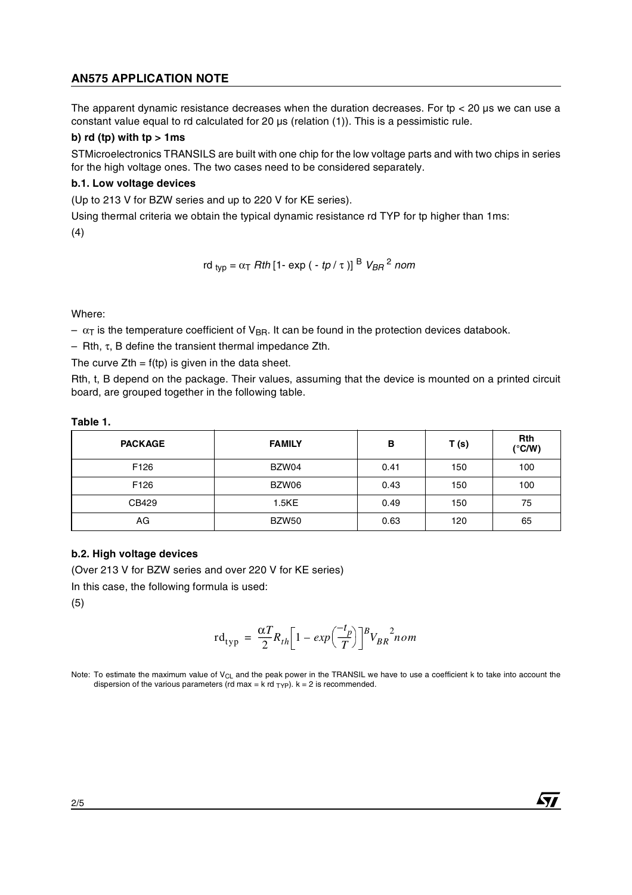## **AN575 APPLICATION NOTE**

The apparent dynamic resistance decreases when the duration decreases. For tp  $<$  20  $\mu$ s we can use a constant value equal to rd calculated for 20 µs (relation (1)). This is a pessimistic rule.

#### **b)**  $rd$  (**tp**) with  $tp > 1$  ms

STMicroelectronics TRANSILS are built with one chip for the low voltage parts and with two chips in series for the high voltage ones. The two cases need to be considered separately.

#### **b.1. Low voltage devices**

(Up to 213 V for BZW series and up to 220 V for KE series).

Using thermal criteria we obtain the typical dynamic resistance rd TYP for tp higher than 1ms: (4)

rd 
$$
_{\text{typ}} = \alpha \tau
$$
 *Rth* [1- exp (-*tp*/ $\tau$ )]<sup>B</sup>  $V_{\text{BR}}^2$  nom

Where:

 $-\alpha_T$  is the temperature coefficient of V<sub>BR</sub>. It can be found in the protection devices databook.

– Rth, τ, B define the transient thermal impedance Zth.

The curve  $Z$ th =  $f$ (tp) is given in the data sheet.

Rth, t, B depend on the package. Their values, assuming that the device is mounted on a printed circuit board, are grouped together in the following table.

#### **Table 1.**

| <b>PACKAGE</b> | <b>FAMILY</b> | в    | T(s) | <b>Rth</b><br>$(^{\circ}C/W)$ |
|----------------|---------------|------|------|-------------------------------|
| F126           | BZW04         | 0.41 | 150  | 100                           |
| F126           | BZW06         | 0.43 | 150  | 100                           |
| CB429          | 1.5KE         | 0.49 | 150  | 75                            |
| AG             | BZW50         | 0.63 | 120  | 65                            |

#### **b.2. High voltage devices**

(Over 213 V for BZW series and over 220 V for KE series)

In this case, the following formula is used:

(5)

$$
rd_{typ} = \frac{\alpha T}{2} R_{th} \bigg[ 1 - exp\bigg(\frac{-t_p}{T}\bigg) \bigg]^B V_{BR}^2 \text{nom}
$$

57

Note: To estimate the maximum value of  $V_{CL}$  and the peak power in the TRANSIL we have to use a coefficient k to take into account the dispersion of the various parameters (rd max = k rd  $_T\gamma$ P). k = 2 is recommended.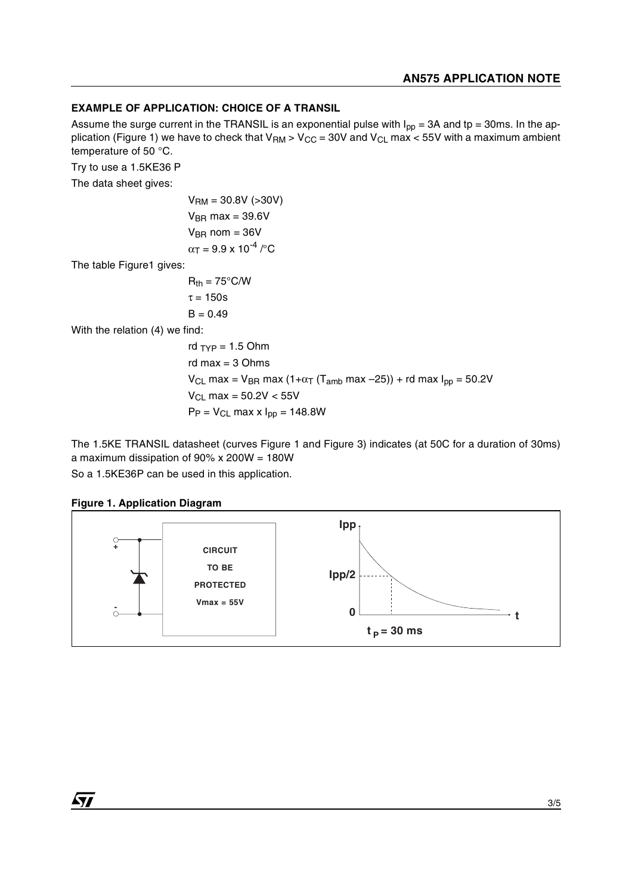#### **EXAMPLE OF APPLICATION: CHOICE OF A TRANSIL**

Assume the surge current in the TRANSIL is an exponential pulse with  $I_{pp} = 3A$  and tp = 30ms. In the application (Figure 1) we have to check that  $V_{RM}$  >  $V_{CC}$  = 30V and  $V_{CL}$  max < 55V with a maximum ambient temperature of 50 °C.

Try to use a 1.5KE36 P

The data sheet gives:

 $V_{\text{RM}} = 30.8V$  (>30V)  $V_{BR}$  max = 39.6V  $V_{BB}$  nom = 36V  $\alpha_T = 9.9 \times 10^{-4}$  / $\degree$ C

The table Figure1 gives:

 $R_{th} = 75^{\circ}$ C/W  $\tau = 150s$  $B = 0.49$ 

With the relation (4) we find:

rd  $_{\text{TVP}}$  = 1.5 Ohm rd max = 3 Ohms  $V_{CL}$  max =  $V_{BR}$  max (1+ $\alpha$ <sub>T</sub> (T<sub>amb</sub> max -25)) + rd max  $I_{pp}$  = 50.2V  $V_{CL}$  max = 50.2V < 55V  $P_P = V_{CL}$  max x  $I_{pp} = 148.8W$ 

The 1.5KE TRANSIL datasheet (curves Figure 1 and Figure 3) indicates (at 50C for a duration of 30ms) a maximum dissipation of 90% x 200W = 180W

So a 1.5KE36P can be used in this application.

#### **Figure 1. Application Diagram**

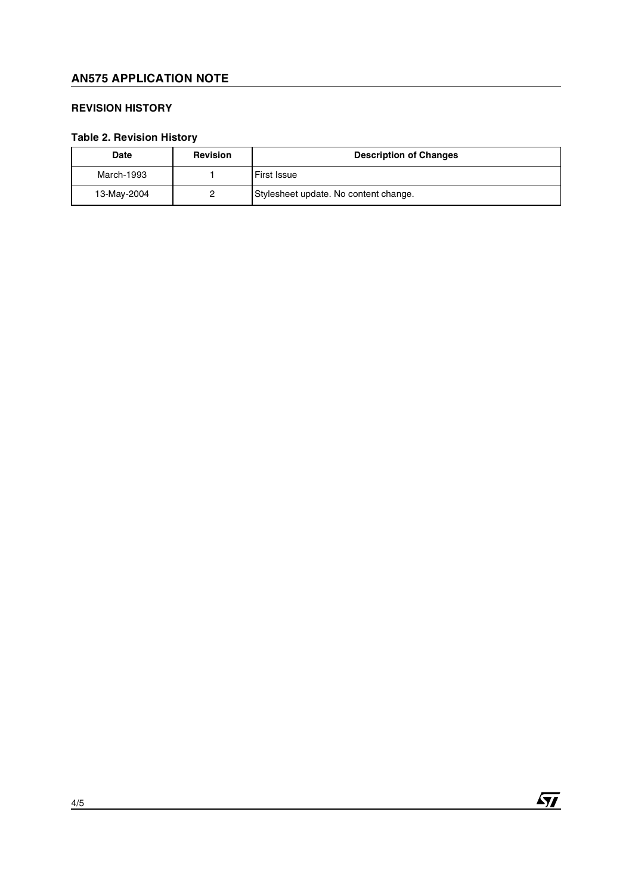# **AN575 APPLICATION NOTE**

## **REVISION HISTORY**

## **Table 2. Revision History**

| <b>Date</b> | <b>Revision</b> | <b>Description of Changes</b>         |
|-------------|-----------------|---------------------------------------|
| March-1993  |                 | <b>First Issue</b>                    |
| 13-May-2004 |                 | Stylesheet update. No content change. |